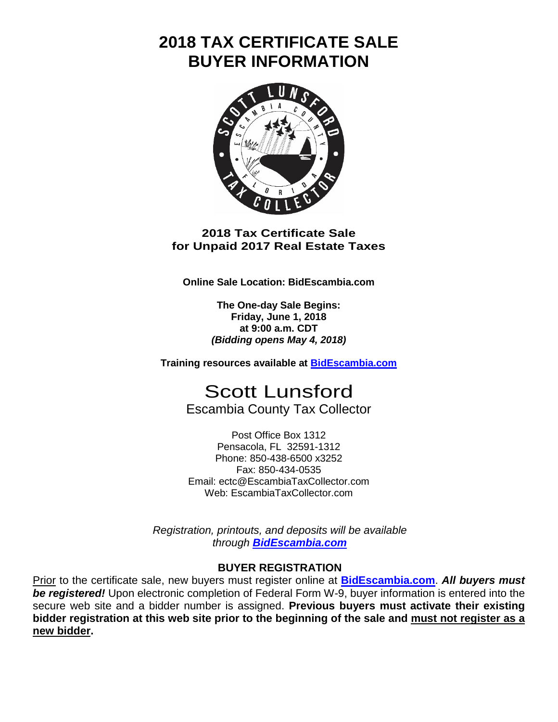# **2018 TAX CERTIFICATE SALE BUYER INFORMATION**



#### **2018 Tax Certificate Sale for Unpaid 2017 Real Estate Taxes**

**Online Sale Location: BidEscambia.com**

**The One-day Sale Begins: Friday, June 1, 2018 at 9:00 a.m. CDT** *(Bidding opens May 4, 2018)*

**Training resources available at [BidEscambia.com](https://bidescambia.com/)**

Scott Lunsford Escambia County Tax Collector

Post Office Box 1312 Pensacola, FL 32591-1312 Phone: 850-438-6500 x3252 Fax: 850-434-0535 Email: ectc@EscambiaTaxCollector.com Web: EscambiaTaxCollector.com

*Registration, printouts, and deposits will be available through [BidEscambia.com](https://bidescambia.com/)*

### **BUYER REGISTRATION**

Prior to the certificate sale, new buyers must register online at **[BidEscambia.com](https://bidescambia.com/)**. *All buyers must be registered!* Upon electronic completion of Federal Form W-9, buyer information is entered into the secure web site and a bidder number is assigned. **Previous buyers must activate their existing bidder registration at this web site prior to the beginning of the sale and must not register as a new bidder.**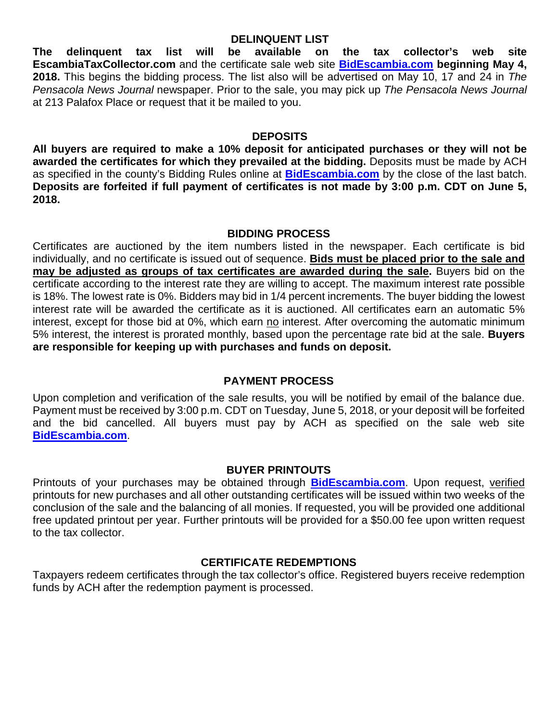**DELINQUENT LIST The delinquent tax list will be available on the tax collector's web site EscambiaTaxCollector.com** and the certificate sale web site **[BidEscambia.com](https://bidescambia.com/) beginning May 4, 2018.** This begins the bidding process. The list also will be advertised on May 10, 17 and 24 in *The Pensacola News Journal* newspaper. Prior to the sale, you may pick up *The Pensacola News Journal* at 213 Palafox Place or request that it be mailed to you.

#### **DEPOSITS**

**All buyers are required to make a 10% deposit for anticipated purchases or they will not be awarded the certificates for which they prevailed at the bidding.** Deposits must be made by ACH as specified in the county's Bidding Rules online at **[BidEscambia.com](https://bidescambia.com/)** by the close of the last batch. **Deposits are forfeited if full payment of certificates is not made by 3:00 p.m. CDT on June 5, 2018.**

#### **BIDDING PROCESS**

Certificates are auctioned by the item numbers listed in the newspaper. Each certificate is bid individually, and no certificate is issued out of sequence. **Bids must be placed prior to the sale and may be adjusted as groups of tax certificates are awarded during the sale.** Buyers bid on the certificate according to the interest rate they are willing to accept. The maximum interest rate possible is 18%. The lowest rate is 0%. Bidders may bid in 1/4 percent increments. The buyer bidding the lowest interest rate will be awarded the certificate as it is auctioned. All certificates earn an automatic 5% interest, except for those bid at 0%, which earn no interest. After overcoming the automatic minimum 5% interest, the interest is prorated monthly, based upon the percentage rate bid at the sale. **Buyers are responsible for keeping up with purchases and funds on deposit.**

### **PAYMENT PROCESS**

Upon completion and verification of the sale results, you will be notified by email of the balance due. Payment must be received by 3:00 p.m. CDT on Tuesday, June 5, 2018, or your deposit will be forfeited and the bid cancelled. All buyers must pay by ACH as specified on the sale web site **[BidEscambia.com](https://bidescambia.com/)**.

### **BUYER PRINTOUTS**

Printouts of your purchases may be obtained through **[BidEscambia.com](https://bidescambia.com/)**. Upon request, verified printouts for new purchases and all other outstanding certificates will be issued within two weeks of the conclusion of the sale and the balancing of all monies. If requested, you will be provided one additional free updated printout per year. Further printouts will be provided for a \$50.00 fee upon written request to the tax collector.

### **CERTIFICATE REDEMPTIONS**

Taxpayers redeem certificates through the tax collector's office. Registered buyers receive redemption funds by ACH after the redemption payment is processed.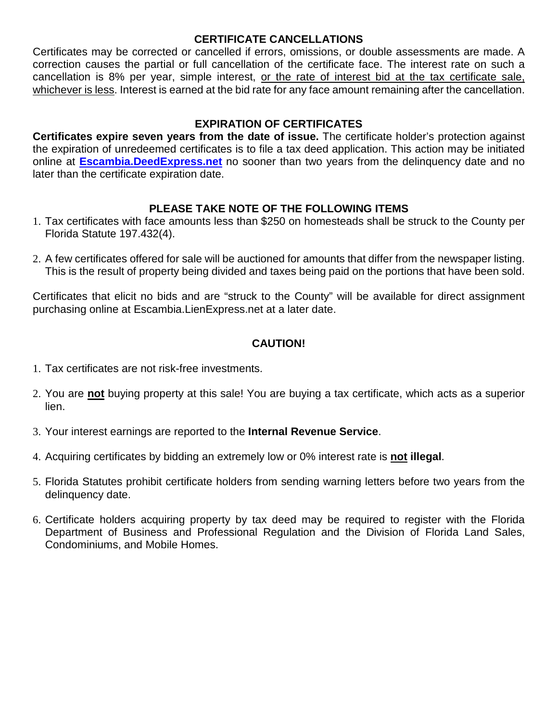#### **CERTIFICATE CANCELLATIONS**

Certificates may be corrected or cancelled if errors, omissions, or double assessments are made. A correction causes the partial or full cancellation of the certificate face. The interest rate on such a cancellation is 8% per year, simple interest, or the rate of interest bid at the tax certificate sale, whichever is less. Interest is earned at the bid rate for any face amount remaining after the cancellation.

#### **EXPIRATION OF CERTIFICATES**

**Certificates expire seven years from the date of issue.** The certificate holder's protection against the expiration of unredeemed certificates is to file a tax deed application. This action may be initiated online at **[Escambia.DeedExpress.net](https://escambia.deedexpress.net/doc/overview)** no sooner than two years from the delinquency date and no later than the certificate expiration date.

#### **PLEASE TAKE NOTE OF THE FOLLOWING ITEMS**

- 1. Tax certificates with face amounts less than \$250 on homesteads shall be struck to the County per Florida Statute 197.432(4).
- 2. A few certificates offered for sale will be auctioned for amounts that differ from the newspaper listing. This is the result of property being divided and taxes being paid on the portions that have been sold.

Certificates that elicit no bids and are "struck to the County" will be available for direct assignment purchasing online at Escambia.LienExpress.net at a later date.

### **CAUTION!**

- 1. Tax certificates are not risk-free investments.
- 2. You are **not** buying property at this sale! You are buying a tax certificate, which acts as a superior lien.
- 3. Your interest earnings are reported to the **Internal Revenue Service**.
- 4. Acquiring certificates by bidding an extremely low or 0% interest rate is **not illegal**.
- 5. Florida Statutes prohibit certificate holders from sending warning letters before two years from the delinquency date.
- 6. Certificate holders acquiring property by tax deed may be required to register with the Florida Department of Business and Professional Regulation and the Division of Florida Land Sales, Condominiums, and Mobile Homes.